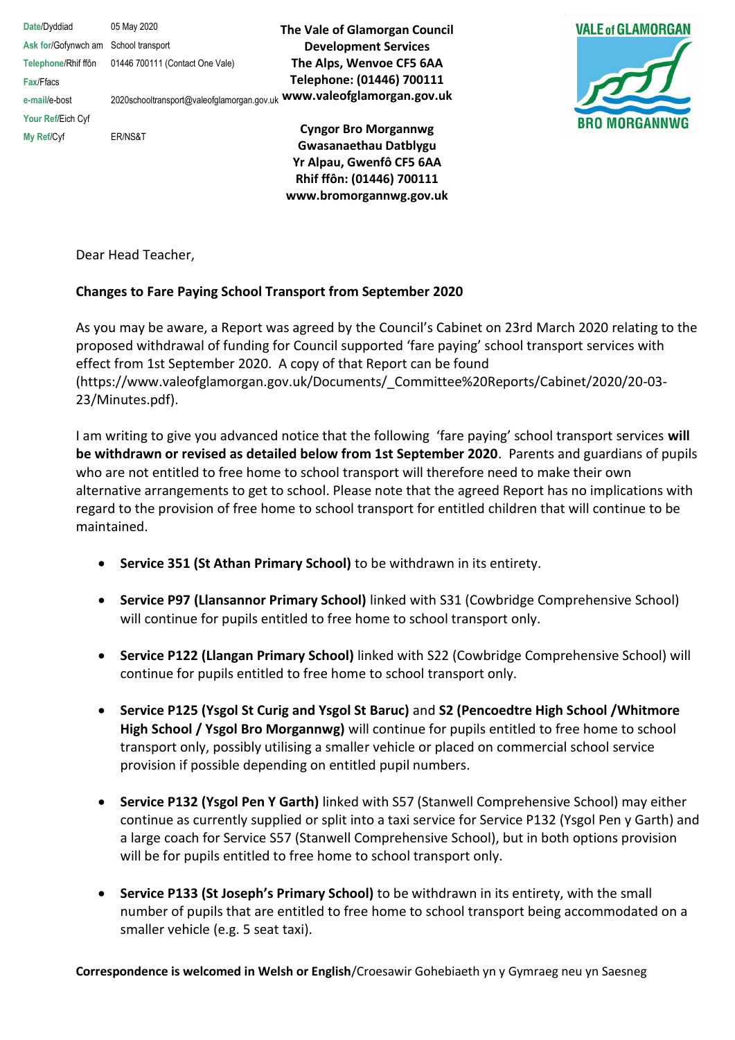**Date**/Dyddiad 05 May 2020 **Ask for**/Gofynwch am School transport **Telephone**/Rhif ffôn 01446 700111 (Contact One Vale) **Fax**/Ffacs

**Your Ref**/Eich Cyf

**My Ref**/Cyf ER/NS&T

**e-mail**/e-bost 2020schooltransport@valeofglamorgan.gov.uk **www.valeofglamorgan.gov.uk The Vale of Glamorgan Council Development Services The Alps, Wenvoe CF5 6AA Telephone: (01446) 700111** 

> **Cyngor Bro Morgannwg Gwasanaethau Datblygu Yr Alpau, Gwenfô CF5 6AA Rhif ffôn: (01446) 700111 www.bromorgannwg.gov.uk**



Dear Head Teacher,

## **Changes to Fare Paying School Transport from September 2020**

As you may be aware, a Report was agreed by the Council's Cabinet on 23rd March 2020 relating to the proposed withdrawal of funding for Council supported 'fare paying' school transport services with effect from 1st September 2020. A copy of that Report can be found (https://www.valeofglamorgan.gov.uk/Documents/\_Committee%20Reports/Cabinet/2020/20-03- 23/Minutes.pdf).

I am writing to give you advanced notice that the following 'fare paying' school transport services **will be withdrawn or revised as detailed below from 1st September 2020**. Parents and guardians of pupils who are not entitled to free home to school transport will therefore need to make their own alternative arrangements to get to school. Please note that the agreed Report has no implications with regard to the provision of free home to school transport for entitled children that will continue to be maintained.

- **Service 351 (St Athan Primary School)** to be withdrawn in its entirety.
- **Service P97 (Llansannor Primary School)** linked with S31 (Cowbridge Comprehensive School) will continue for pupils entitled to free home to school transport only.
- **Service P122 (Llangan Primary School)** linked with S22 (Cowbridge Comprehensive School) will continue for pupils entitled to free home to school transport only.
- **Service P125 (Ysgol St Curig and Ysgol St Baruc)** and **S2 (Pencoedtre High School /Whitmore High School / Ysgol Bro Morgannwg)** will continue for pupils entitled to free home to school transport only, possibly utilising a smaller vehicle or placed on commercial school service provision if possible depending on entitled pupil numbers.
- **Service P132 (Ysgol Pen Y Garth)** linked with S57 (Stanwell Comprehensive School) may either continue as currently supplied or split into a taxi service for Service P132 (Ysgol Pen y Garth) and a large coach for Service S57 (Stanwell Comprehensive School), but in both options provision will be for pupils entitled to free home to school transport only.
- **Service P133 (St Joseph's Primary School)** to be withdrawn in its entirety, with the small number of pupils that are entitled to free home to school transport being accommodated on a smaller vehicle (e.g. 5 seat taxi).

**Correspondence is welcomed in Welsh or English**/Croesawir Gohebiaeth yn y Gymraeg neu yn Saesneg